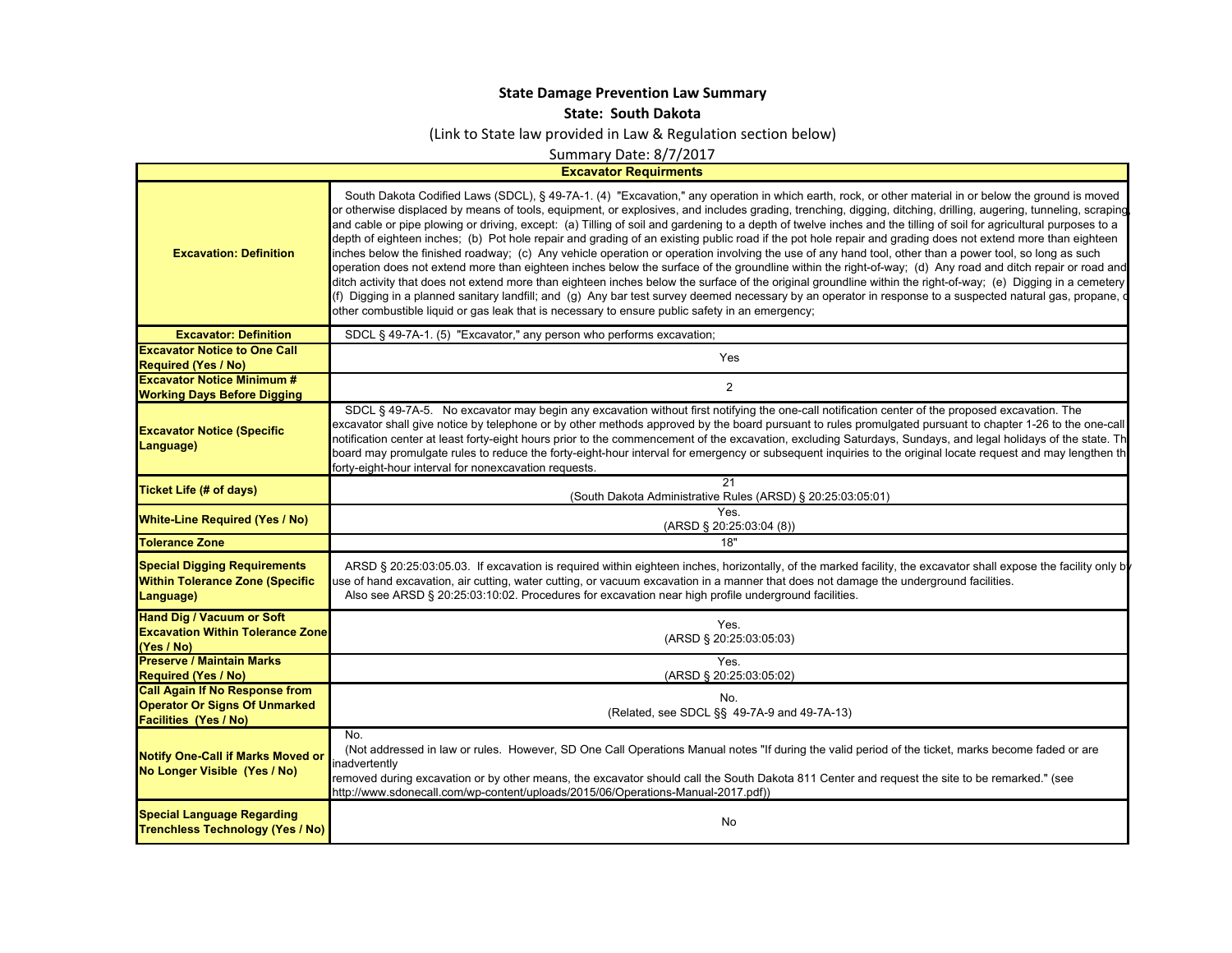## **State Damage Prevention Law Summary**

**State: South Dakota**

(Link to State law provided in Law & Regulation section below)

Summary Date: 8/7/2017

**Excavator Requirments**

| <b>Excavation: Definition</b>                                                                                 | South Dakota Codified Laws (SDCL), § 49-7A-1. (4) "Excavation," any operation in which earth, rock, or other material in or below the ground is moved<br>or otherwise displaced by means of tools, equipment, or explosives, and includes grading, trenching, digging, ditching, drilling, augering, tunneling, scraping<br>and cable or pipe plowing or driving, except: (a) Tilling of soil and gardening to a depth of twelve inches and the tilling of soil for agricultural purposes to a<br>depth of eighteen inches; (b) Pot hole repair and grading of an existing public road if the pot hole repair and grading does not extend more than eighteen<br>inches below the finished roadway; (c) Any vehicle operation or operation involving the use of any hand tool, other than a power tool, so long as such<br>operation does not extend more than eighteen inches below the surface of the groundline within the right-of-way; (d) Any road and ditch repair or road and<br>ditch activity that does not extend more than eighteen inches below the surface of the original groundline within the right-of-way; (e) Digging in a cemetery<br>(f) Digging in a planned sanitary landfill; and (g) Any bar test survey deemed necessary by an operator in response to a suspected natural gas, propane,<br>other combustible liquid or gas leak that is necessary to ensure public safety in an emergency; |
|---------------------------------------------------------------------------------------------------------------|----------------------------------------------------------------------------------------------------------------------------------------------------------------------------------------------------------------------------------------------------------------------------------------------------------------------------------------------------------------------------------------------------------------------------------------------------------------------------------------------------------------------------------------------------------------------------------------------------------------------------------------------------------------------------------------------------------------------------------------------------------------------------------------------------------------------------------------------------------------------------------------------------------------------------------------------------------------------------------------------------------------------------------------------------------------------------------------------------------------------------------------------------------------------------------------------------------------------------------------------------------------------------------------------------------------------------------------------------------------------------------------------------------------------|
| <b>Excavator: Definition</b>                                                                                  | SDCL § 49-7A-1. (5) "Excavator," any person who performs excavation;                                                                                                                                                                                                                                                                                                                                                                                                                                                                                                                                                                                                                                                                                                                                                                                                                                                                                                                                                                                                                                                                                                                                                                                                                                                                                                                                                 |
| <b>Excavator Notice to One Call</b><br><b>Required (Yes / No)</b>                                             | Yes                                                                                                                                                                                                                                                                                                                                                                                                                                                                                                                                                                                                                                                                                                                                                                                                                                                                                                                                                                                                                                                                                                                                                                                                                                                                                                                                                                                                                  |
| <b>Excavator Notice Minimum #</b><br><b>Working Days Before Digging</b>                                       | $\overline{2}$                                                                                                                                                                                                                                                                                                                                                                                                                                                                                                                                                                                                                                                                                                                                                                                                                                                                                                                                                                                                                                                                                                                                                                                                                                                                                                                                                                                                       |
| <b>Excavator Notice (Specific</b><br>Language)                                                                | SDCL § 49-7A-5. No excavator may begin any excavation without first notifying the one-call notification center of the proposed excavation. The<br>excavator shall give notice by telephone or by other methods approved by the board pursuant to rules promulgated pursuant to chapter 1-26 to the one-call<br>notification center at least forty-eight hours prior to the commencement of the excavation, excluding Saturdays, Sundays, and legal holidays of the state. Th<br>board may promulgate rules to reduce the forty-eight-hour interval for emergency or subsequent inquiries to the original locate request and may lengthen th<br>forty-eight-hour interval for nonexcavation requests.                                                                                                                                                                                                                                                                                                                                                                                                                                                                                                                                                                                                                                                                                                                 |
| Ticket Life (# of days)                                                                                       | 21<br>(South Dakota Administrative Rules (ARSD) § 20:25:03:05:01)                                                                                                                                                                                                                                                                                                                                                                                                                                                                                                                                                                                                                                                                                                                                                                                                                                                                                                                                                                                                                                                                                                                                                                                                                                                                                                                                                    |
| <b>White-Line Required (Yes / No)</b>                                                                         | <b>Yes</b><br>(ARSD § 20:25:03:04 (8))                                                                                                                                                                                                                                                                                                                                                                                                                                                                                                                                                                                                                                                                                                                                                                                                                                                                                                                                                                                                                                                                                                                                                                                                                                                                                                                                                                               |
| <b>Tolerance Zone</b>                                                                                         | 18"                                                                                                                                                                                                                                                                                                                                                                                                                                                                                                                                                                                                                                                                                                                                                                                                                                                                                                                                                                                                                                                                                                                                                                                                                                                                                                                                                                                                                  |
| <b>Special Digging Requirements</b><br><b>Within Tolerance Zone (Specific</b><br>Language)                    | ARSD § 20:25:03:05.03. If excavation is required within eighteen inches, horizontally, of the marked facility, the excavator shall expose the facility only b<br>use of hand excavation, air cutting, water cutting, or vacuum excavation in a manner that does not damage the underground facilities.<br>Also see ARSD § 20:25:03:10:02. Procedures for excavation near high profile underground facilities.                                                                                                                                                                                                                                                                                                                                                                                                                                                                                                                                                                                                                                                                                                                                                                                                                                                                                                                                                                                                        |
| <b>Hand Dig / Vacuum or Soft</b><br><b>Excavation Within Tolerance Zone</b><br>(Yes / No)                     | Yes.<br>(ARSD § 20:25:03:05:03)                                                                                                                                                                                                                                                                                                                                                                                                                                                                                                                                                                                                                                                                                                                                                                                                                                                                                                                                                                                                                                                                                                                                                                                                                                                                                                                                                                                      |
| <b>Preserve / Maintain Marks</b><br><b>Required (Yes / No)</b>                                                | Yes.<br>(ARSD § 20:25:03:05:02)                                                                                                                                                                                                                                                                                                                                                                                                                                                                                                                                                                                                                                                                                                                                                                                                                                                                                                                                                                                                                                                                                                                                                                                                                                                                                                                                                                                      |
| <b>Call Again If No Response from</b><br><b>Operator Or Signs Of Unmarked</b><br><b>Facilities (Yes / No)</b> | No.<br>(Related, see SDCL §§ 49-7A-9 and 49-7A-13)                                                                                                                                                                                                                                                                                                                                                                                                                                                                                                                                                                                                                                                                                                                                                                                                                                                                                                                                                                                                                                                                                                                                                                                                                                                                                                                                                                   |
| <b>Notify One-Call if Marks Moved or</b><br>No Longer Visible (Yes / No)                                      | No.<br>(Not addressed in law or rules. However, SD One Call Operations Manual notes "If during the valid period of the ticket, marks become faded or are<br>inadvertently<br>removed during excavation or by other means, the excavator should call the South Dakota 811 Center and request the site to be remarked." (see<br>http://www.sdonecall.com/wp-content/uploads/2015/06/Operations-Manual-2017.pdf))                                                                                                                                                                                                                                                                                                                                                                                                                                                                                                                                                                                                                                                                                                                                                                                                                                                                                                                                                                                                       |
| <b>Special Language Regarding</b><br><b>Trenchless Technology (Yes / No)</b>                                  | No                                                                                                                                                                                                                                                                                                                                                                                                                                                                                                                                                                                                                                                                                                                                                                                                                                                                                                                                                                                                                                                                                                                                                                                                                                                                                                                                                                                                                   |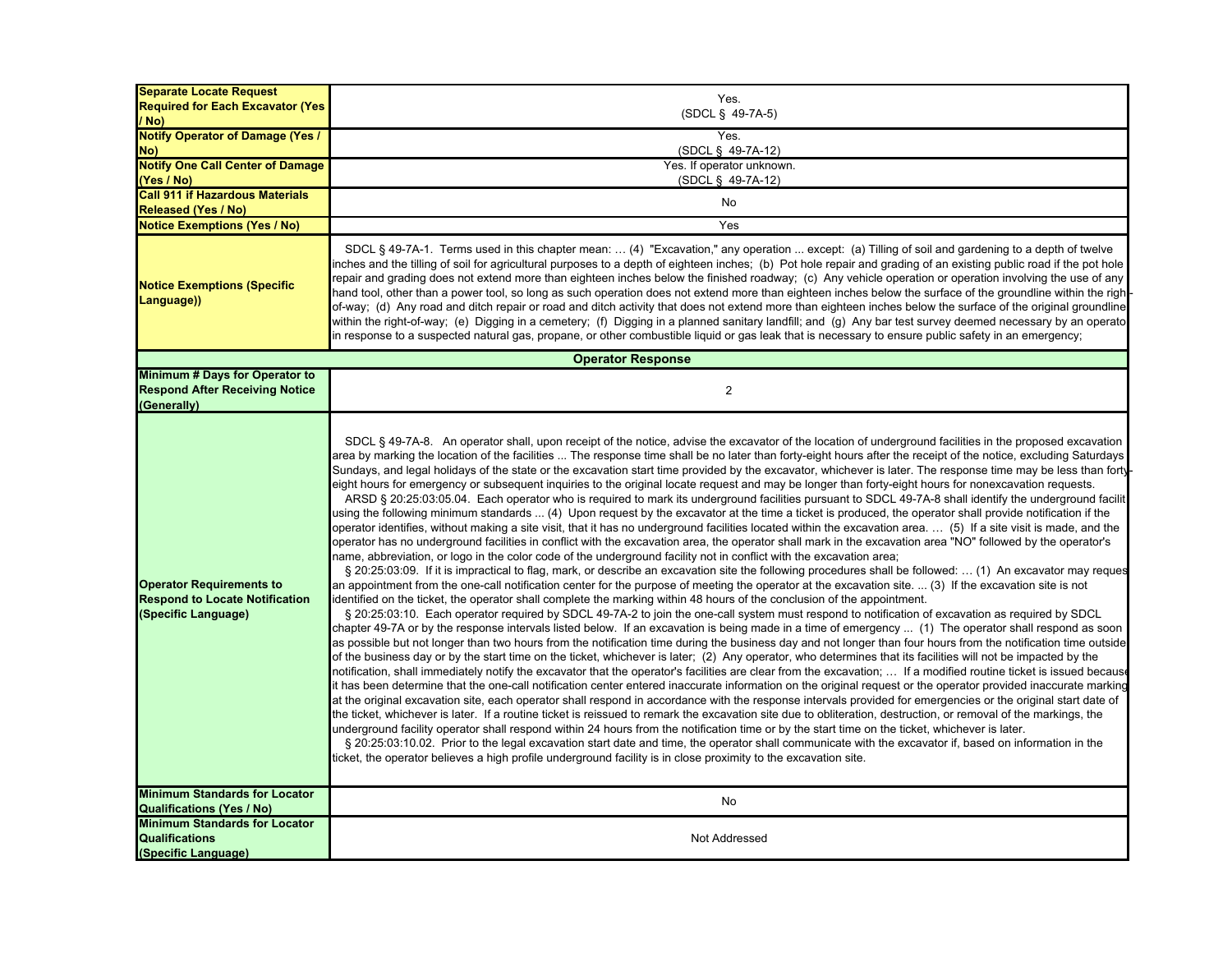| <b>Separate Locate Request</b><br><b>Required for Each Excavator (Yes)</b><br>/ No)             | Yes.<br>(SDCL § 49-7A-5)                                                                                                                                                                                                                                                                                                                                                                                                                                                                                                                                                                                                                                                                                                                                                                                                                                                                                                                                                                                                                                                                                                                                                                                                                                                                                                                                                                                                                                                                                                                                                                                                                                                                                                                                                                                                                                                                                                                                                                                                                                                                                                                                                                                                                                                                                                                                                                                                                                                                                                                                                                                                                                                                                                                                                                                                                                                                                                                                                                                                                                                                                                                                                                                                                                                                                                                                                                                                                                                                                                                                                                                                                                 |
|-------------------------------------------------------------------------------------------------|----------------------------------------------------------------------------------------------------------------------------------------------------------------------------------------------------------------------------------------------------------------------------------------------------------------------------------------------------------------------------------------------------------------------------------------------------------------------------------------------------------------------------------------------------------------------------------------------------------------------------------------------------------------------------------------------------------------------------------------------------------------------------------------------------------------------------------------------------------------------------------------------------------------------------------------------------------------------------------------------------------------------------------------------------------------------------------------------------------------------------------------------------------------------------------------------------------------------------------------------------------------------------------------------------------------------------------------------------------------------------------------------------------------------------------------------------------------------------------------------------------------------------------------------------------------------------------------------------------------------------------------------------------------------------------------------------------------------------------------------------------------------------------------------------------------------------------------------------------------------------------------------------------------------------------------------------------------------------------------------------------------------------------------------------------------------------------------------------------------------------------------------------------------------------------------------------------------------------------------------------------------------------------------------------------------------------------------------------------------------------------------------------------------------------------------------------------------------------------------------------------------------------------------------------------------------------------------------------------------------------------------------------------------------------------------------------------------------------------------------------------------------------------------------------------------------------------------------------------------------------------------------------------------------------------------------------------------------------------------------------------------------------------------------------------------------------------------------------------------------------------------------------------------------------------------------------------------------------------------------------------------------------------------------------------------------------------------------------------------------------------------------------------------------------------------------------------------------------------------------------------------------------------------------------------------------------------------------------------------------------------------------------------|
| <b>Notify Operator of Damage (Yes /</b><br>No)                                                  | Yes.<br>(SDCL § 49-7A-12)                                                                                                                                                                                                                                                                                                                                                                                                                                                                                                                                                                                                                                                                                                                                                                                                                                                                                                                                                                                                                                                                                                                                                                                                                                                                                                                                                                                                                                                                                                                                                                                                                                                                                                                                                                                                                                                                                                                                                                                                                                                                                                                                                                                                                                                                                                                                                                                                                                                                                                                                                                                                                                                                                                                                                                                                                                                                                                                                                                                                                                                                                                                                                                                                                                                                                                                                                                                                                                                                                                                                                                                                                                |
| <b>Notify One Call Center of Damage</b>                                                         | Yes. If operator unknown.                                                                                                                                                                                                                                                                                                                                                                                                                                                                                                                                                                                                                                                                                                                                                                                                                                                                                                                                                                                                                                                                                                                                                                                                                                                                                                                                                                                                                                                                                                                                                                                                                                                                                                                                                                                                                                                                                                                                                                                                                                                                                                                                                                                                                                                                                                                                                                                                                                                                                                                                                                                                                                                                                                                                                                                                                                                                                                                                                                                                                                                                                                                                                                                                                                                                                                                                                                                                                                                                                                                                                                                                                                |
| (Yes / No)                                                                                      | (SDCL § 49-7A-12)                                                                                                                                                                                                                                                                                                                                                                                                                                                                                                                                                                                                                                                                                                                                                                                                                                                                                                                                                                                                                                                                                                                                                                                                                                                                                                                                                                                                                                                                                                                                                                                                                                                                                                                                                                                                                                                                                                                                                                                                                                                                                                                                                                                                                                                                                                                                                                                                                                                                                                                                                                                                                                                                                                                                                                                                                                                                                                                                                                                                                                                                                                                                                                                                                                                                                                                                                                                                                                                                                                                                                                                                                                        |
| <b>Call 911 if Hazardous Materials</b><br><b>Released (Yes / No)</b>                            | No                                                                                                                                                                                                                                                                                                                                                                                                                                                                                                                                                                                                                                                                                                                                                                                                                                                                                                                                                                                                                                                                                                                                                                                                                                                                                                                                                                                                                                                                                                                                                                                                                                                                                                                                                                                                                                                                                                                                                                                                                                                                                                                                                                                                                                                                                                                                                                                                                                                                                                                                                                                                                                                                                                                                                                                                                                                                                                                                                                                                                                                                                                                                                                                                                                                                                                                                                                                                                                                                                                                                                                                                                                                       |
| <b>Notice Exemptions (Yes / No)</b>                                                             | Yes                                                                                                                                                                                                                                                                                                                                                                                                                                                                                                                                                                                                                                                                                                                                                                                                                                                                                                                                                                                                                                                                                                                                                                                                                                                                                                                                                                                                                                                                                                                                                                                                                                                                                                                                                                                                                                                                                                                                                                                                                                                                                                                                                                                                                                                                                                                                                                                                                                                                                                                                                                                                                                                                                                                                                                                                                                                                                                                                                                                                                                                                                                                                                                                                                                                                                                                                                                                                                                                                                                                                                                                                                                                      |
| <b>Notice Exemptions (Specific</b><br>Language))                                                | SDCL § 49-7A-1. Terms used in this chapter mean:  (4) "Excavation," any operation  except: (a) Tilling of soil and gardening to a depth of twelve<br>inches and the tilling of soil for agricultural purposes to a depth of eighteen inches; (b) Pot hole repair and grading of an existing public road if the pot hole<br>repair and grading does not extend more than eighteen inches below the finished roadway; (c) Any vehicle operation or operation involving the use of any<br>hand tool, other than a power tool, so long as such operation does not extend more than eighteen inches below the surface of the groundline within the righ<br>of-way; (d) Any road and ditch repair or road and ditch activity that does not extend more than eighteen inches below the surface of the original groundline<br>within the right-of-way; (e) Digging in a cemetery; (f) Digging in a planned sanitary landfill; and (g) Any bar test survey deemed necessary by an operato<br>in response to a suspected natural gas, propane, or other combustible liquid or gas leak that is necessary to ensure public safety in an emergency;                                                                                                                                                                                                                                                                                                                                                                                                                                                                                                                                                                                                                                                                                                                                                                                                                                                                                                                                                                                                                                                                                                                                                                                                                                                                                                                                                                                                                                                                                                                                                                                                                                                                                                                                                                                                                                                                                                                                                                                                                                                                                                                                                                                                                                                                                                                                                                                                                                                                                                                  |
|                                                                                                 | <b>Operator Response</b>                                                                                                                                                                                                                                                                                                                                                                                                                                                                                                                                                                                                                                                                                                                                                                                                                                                                                                                                                                                                                                                                                                                                                                                                                                                                                                                                                                                                                                                                                                                                                                                                                                                                                                                                                                                                                                                                                                                                                                                                                                                                                                                                                                                                                                                                                                                                                                                                                                                                                                                                                                                                                                                                                                                                                                                                                                                                                                                                                                                                                                                                                                                                                                                                                                                                                                                                                                                                                                                                                                                                                                                                                                 |
| Minimum # Days for Operator to<br><b>Respond After Receiving Notice</b><br>(Generally)          | $\overline{2}$                                                                                                                                                                                                                                                                                                                                                                                                                                                                                                                                                                                                                                                                                                                                                                                                                                                                                                                                                                                                                                                                                                                                                                                                                                                                                                                                                                                                                                                                                                                                                                                                                                                                                                                                                                                                                                                                                                                                                                                                                                                                                                                                                                                                                                                                                                                                                                                                                                                                                                                                                                                                                                                                                                                                                                                                                                                                                                                                                                                                                                                                                                                                                                                                                                                                                                                                                                                                                                                                                                                                                                                                                                           |
| <b>Operator Requirements to</b><br><b>Respond to Locate Notification</b><br>(Specific Language) | SDCL § 49-7A-8. An operator shall, upon receipt of the notice, advise the excavator of the location of underground facilities in the proposed excavation<br>area by marking the location of the facilities  The response time shall be no later than forty-eight hours after the receipt of the notice, excluding Saturdays<br>Sundays, and legal holidays of the state or the excavation start time provided by the excavator, whichever is later. The response time may be less than forty<br>eight hours for emergency or subsequent inquiries to the original locate request and may be longer than forty-eight hours for nonexcavation requests.<br>ARSD § 20:25:03:05.04. Each operator who is required to mark its underground facilities pursuant to SDCL 49-7A-8 shall identify the underground facilit<br>using the following minimum standards … (4) Upon request by the excavator at the time a ticket is produced, the operator shall provide notification if the<br>operator identifies, without making a site visit, that it has no underground facilities located within the excavation area. … (5) If a site visit is made, and the<br>operator has no underground facilities in conflict with the excavation area, the operator shall mark in the excavation area "NO" followed by the operator's<br>name, abbreviation, or logo in the color code of the underground facility not in conflict with the excavation area;<br>§ 20:25:03:09. If it is impractical to flag, mark, or describe an excavation site the following procedures shall be followed:  (1) An excavator may reques<br>an appointment from the one-call notification center for the purpose of meeting the operator at the excavation site.  (3) If the excavation site is not<br>identified on the ticket, the operator shall complete the marking within 48 hours of the conclusion of the appointment.<br>§ 20:25:03:10. Each operator required by SDCL 49-7A-2 to join the one-call system must respond to notification of excavation as required by SDCL<br>chapter 49-7A or by the response intervals listed below. If an excavation is being made in a time of emergency  (1) The operator shall respond as soon<br>as possible but not longer than two hours from the notification time during the business day and not longer than four hours from the notification time outside<br>of the business day or by the start time on the ticket, whichever is later; (2) Any operator, who determines that its facilities will not be impacted by the<br>notification, shall immediately notify the excavator that the operator's facilities are clear from the excavation;  If a modified routine ticket is issued becaus<br>it has been determine that the one-call notification center entered inaccurate information on the original request or the operator provided inaccurate marking<br>at the original excavation site, each operator shall respond in accordance with the response intervals provided for emergencies or the original start date of<br>the ticket, whichever is later. If a routine ticket is reissued to remark the excavation site due to obliteration, destruction, or removal of the markings, the<br>underground facility operator shall respond within 24 hours from the notification time or by the start time on the ticket, whichever is later.<br>§ 20:25:03:10.02. Prior to the legal excavation start date and time, the operator shall communicate with the excavator if, based on information in the<br>ticket, the operator believes a high profile underground facility is in close proximity to the excavation site. |
| <b>Minimum Standards for Locator</b>                                                            | No                                                                                                                                                                                                                                                                                                                                                                                                                                                                                                                                                                                                                                                                                                                                                                                                                                                                                                                                                                                                                                                                                                                                                                                                                                                                                                                                                                                                                                                                                                                                                                                                                                                                                                                                                                                                                                                                                                                                                                                                                                                                                                                                                                                                                                                                                                                                                                                                                                                                                                                                                                                                                                                                                                                                                                                                                                                                                                                                                                                                                                                                                                                                                                                                                                                                                                                                                                                                                                                                                                                                                                                                                                                       |
| <b>Qualifications (Yes / No)</b><br><b>Minimum Standards for Locator</b>                        |                                                                                                                                                                                                                                                                                                                                                                                                                                                                                                                                                                                                                                                                                                                                                                                                                                                                                                                                                                                                                                                                                                                                                                                                                                                                                                                                                                                                                                                                                                                                                                                                                                                                                                                                                                                                                                                                                                                                                                                                                                                                                                                                                                                                                                                                                                                                                                                                                                                                                                                                                                                                                                                                                                                                                                                                                                                                                                                                                                                                                                                                                                                                                                                                                                                                                                                                                                                                                                                                                                                                                                                                                                                          |
| <b>Qualifications</b>                                                                           | Not Addressed                                                                                                                                                                                                                                                                                                                                                                                                                                                                                                                                                                                                                                                                                                                                                                                                                                                                                                                                                                                                                                                                                                                                                                                                                                                                                                                                                                                                                                                                                                                                                                                                                                                                                                                                                                                                                                                                                                                                                                                                                                                                                                                                                                                                                                                                                                                                                                                                                                                                                                                                                                                                                                                                                                                                                                                                                                                                                                                                                                                                                                                                                                                                                                                                                                                                                                                                                                                                                                                                                                                                                                                                                                            |
| (Specific Language)                                                                             |                                                                                                                                                                                                                                                                                                                                                                                                                                                                                                                                                                                                                                                                                                                                                                                                                                                                                                                                                                                                                                                                                                                                                                                                                                                                                                                                                                                                                                                                                                                                                                                                                                                                                                                                                                                                                                                                                                                                                                                                                                                                                                                                                                                                                                                                                                                                                                                                                                                                                                                                                                                                                                                                                                                                                                                                                                                                                                                                                                                                                                                                                                                                                                                                                                                                                                                                                                                                                                                                                                                                                                                                                                                          |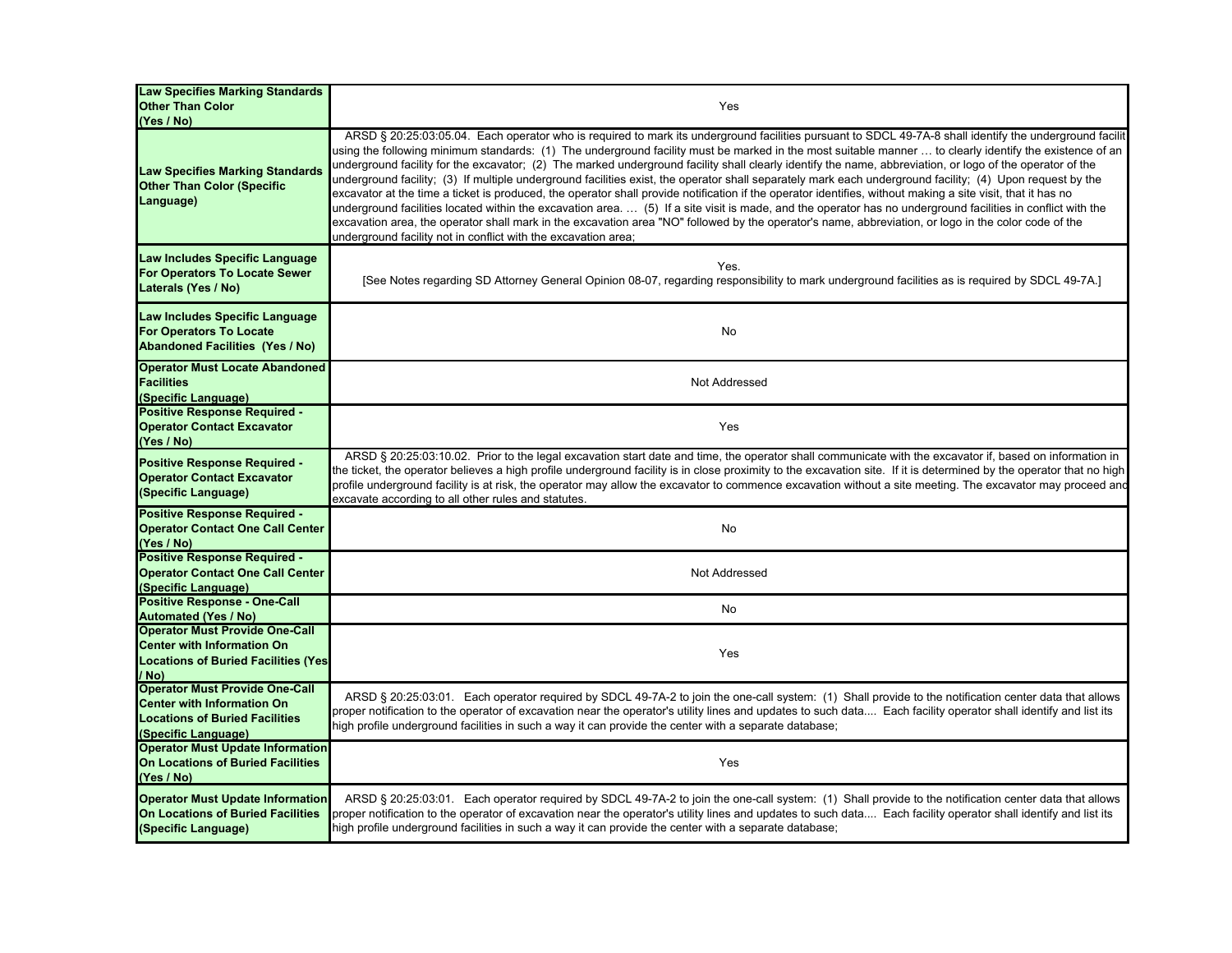| <b>Law Specifies Marking Standards</b><br><b>Other Than Color</b><br>(Yes / No)                                                            | Yes                                                                                                                                                                                                                                                                                                                                                                                                                                                                                                                                                                                                                                                                                                                                                                                                                                                                                                                                                                                                                                                                                                                                                                                                   |
|--------------------------------------------------------------------------------------------------------------------------------------------|-------------------------------------------------------------------------------------------------------------------------------------------------------------------------------------------------------------------------------------------------------------------------------------------------------------------------------------------------------------------------------------------------------------------------------------------------------------------------------------------------------------------------------------------------------------------------------------------------------------------------------------------------------------------------------------------------------------------------------------------------------------------------------------------------------------------------------------------------------------------------------------------------------------------------------------------------------------------------------------------------------------------------------------------------------------------------------------------------------------------------------------------------------------------------------------------------------|
| Law Specifies Marking Standards<br><b>Other Than Color (Specific</b><br>Language)                                                          | ARSD § 20:25:03:05.04. Each operator who is required to mark its underground facilities pursuant to SDCL 49-7A-8 shall identify the underground facilit<br>using the following minimum standards: (1) The underground facility must be marked in the most suitable manner  to clearly identify the existence of an<br>underground facility for the excavator; (2) The marked underground facility shall clearly identify the name, abbreviation, or logo of the operator of the<br>underground facility; (3) If multiple underground facilities exist, the operator shall separately mark each underground facility; (4) Upon request by the<br>excavator at the time a ticket is produced, the operator shall provide notification if the operator identifies, without making a site visit, that it has no<br>underground facilities located within the excavation area.  (5) If a site visit is made, and the operator has no underground facilities in conflict with the<br>excavation area, the operator shall mark in the excavation area "NO" followed by the operator's name, abbreviation, or logo in the color code of the<br>underground facility not in conflict with the excavation area; |
| Law Includes Specific Language<br>For Operators To Locate Sewer<br>Laterals (Yes / No)                                                     | Yes.<br>[See Notes regarding SD Attorney General Opinion 08-07, regarding responsibility to mark underground facilities as is required by SDCL 49-7A.]                                                                                                                                                                                                                                                                                                                                                                                                                                                                                                                                                                                                                                                                                                                                                                                                                                                                                                                                                                                                                                                |
| Law Includes Specific Language<br><b>For Operators To Locate</b><br><b>Abandoned Facilities (Yes / No)</b>                                 | No                                                                                                                                                                                                                                                                                                                                                                                                                                                                                                                                                                                                                                                                                                                                                                                                                                                                                                                                                                                                                                                                                                                                                                                                    |
| <b>Operator Must Locate Abandoned</b><br><b>Facilities</b><br>(Specific Language)                                                          | Not Addressed                                                                                                                                                                                                                                                                                                                                                                                                                                                                                                                                                                                                                                                                                                                                                                                                                                                                                                                                                                                                                                                                                                                                                                                         |
| <b>Positive Response Required -</b><br><b>Operator Contact Excavator</b><br>(Yes / No)                                                     | Yes                                                                                                                                                                                                                                                                                                                                                                                                                                                                                                                                                                                                                                                                                                                                                                                                                                                                                                                                                                                                                                                                                                                                                                                                   |
| Positive Response Required -<br><b>Operator Contact Excavator</b><br>(Specific Language)                                                   | ARSD § 20:25:03:10.02. Prior to the legal excavation start date and time, the operator shall communicate with the excavator if, based on information in<br>the ticket, the operator believes a high profile underground facility is in close proximity to the excavation site. If it is determined by the operator that no high<br>profile underground facility is at risk, the operator may allow the excavator to commence excavation without a site meeting. The excavator may proceed and<br>excavate according to all other rules and statutes.                                                                                                                                                                                                                                                                                                                                                                                                                                                                                                                                                                                                                                                  |
| Positive Response Required -<br><b>Operator Contact One Call Center</b><br>(Yes / No)                                                      | No                                                                                                                                                                                                                                                                                                                                                                                                                                                                                                                                                                                                                                                                                                                                                                                                                                                                                                                                                                                                                                                                                                                                                                                                    |
| <b>Positive Response Required -</b><br><b>Operator Contact One Call Center</b><br>(Specific Language)                                      | Not Addressed                                                                                                                                                                                                                                                                                                                                                                                                                                                                                                                                                                                                                                                                                                                                                                                                                                                                                                                                                                                                                                                                                                                                                                                         |
| <b>Positive Response - One-Call</b><br><b>Automated (Yes / No)</b>                                                                         | No                                                                                                                                                                                                                                                                                                                                                                                                                                                                                                                                                                                                                                                                                                                                                                                                                                                                                                                                                                                                                                                                                                                                                                                                    |
| <b>Operator Must Provide One-Call</b><br><b>Center with Information On</b><br><b>Locations of Buried Facilities (Yes)</b><br>/ No)         | Yes                                                                                                                                                                                                                                                                                                                                                                                                                                                                                                                                                                                                                                                                                                                                                                                                                                                                                                                                                                                                                                                                                                                                                                                                   |
| <b>Operator Must Provide One-Call</b><br><b>Center with Information On</b><br><b>Locations of Buried Facilities</b><br>(Specific Language) | ARSD § 20:25:03:01. Each operator required by SDCL 49-7A-2 to join the one-call system: (1) Shall provide to the notification center data that allows<br>proper notification to the operator of excavation near the operator's utility lines and updates to such data Each facility operator shall identify and list its<br>high profile underground facilities in such a way it can provide the center with a separate database;                                                                                                                                                                                                                                                                                                                                                                                                                                                                                                                                                                                                                                                                                                                                                                     |
| <b>Operator Must Update Information</b><br><b>On Locations of Buried Facilities</b><br>(Yes / No)                                          | Yes                                                                                                                                                                                                                                                                                                                                                                                                                                                                                                                                                                                                                                                                                                                                                                                                                                                                                                                                                                                                                                                                                                                                                                                                   |
| <b>Operator Must Update Information</b><br>On Locations of Buried Facilities<br>(Specific Language)                                        | ARSD § 20:25:03:01. Each operator required by SDCL 49-7A-2 to join the one-call system: (1) Shall provide to the notification center data that allows<br>proper notification to the operator of excavation near the operator's utility lines and updates to such data Each facility operator shall identify and list its<br>high profile underground facilities in such a way it can provide the center with a separate database;                                                                                                                                                                                                                                                                                                                                                                                                                                                                                                                                                                                                                                                                                                                                                                     |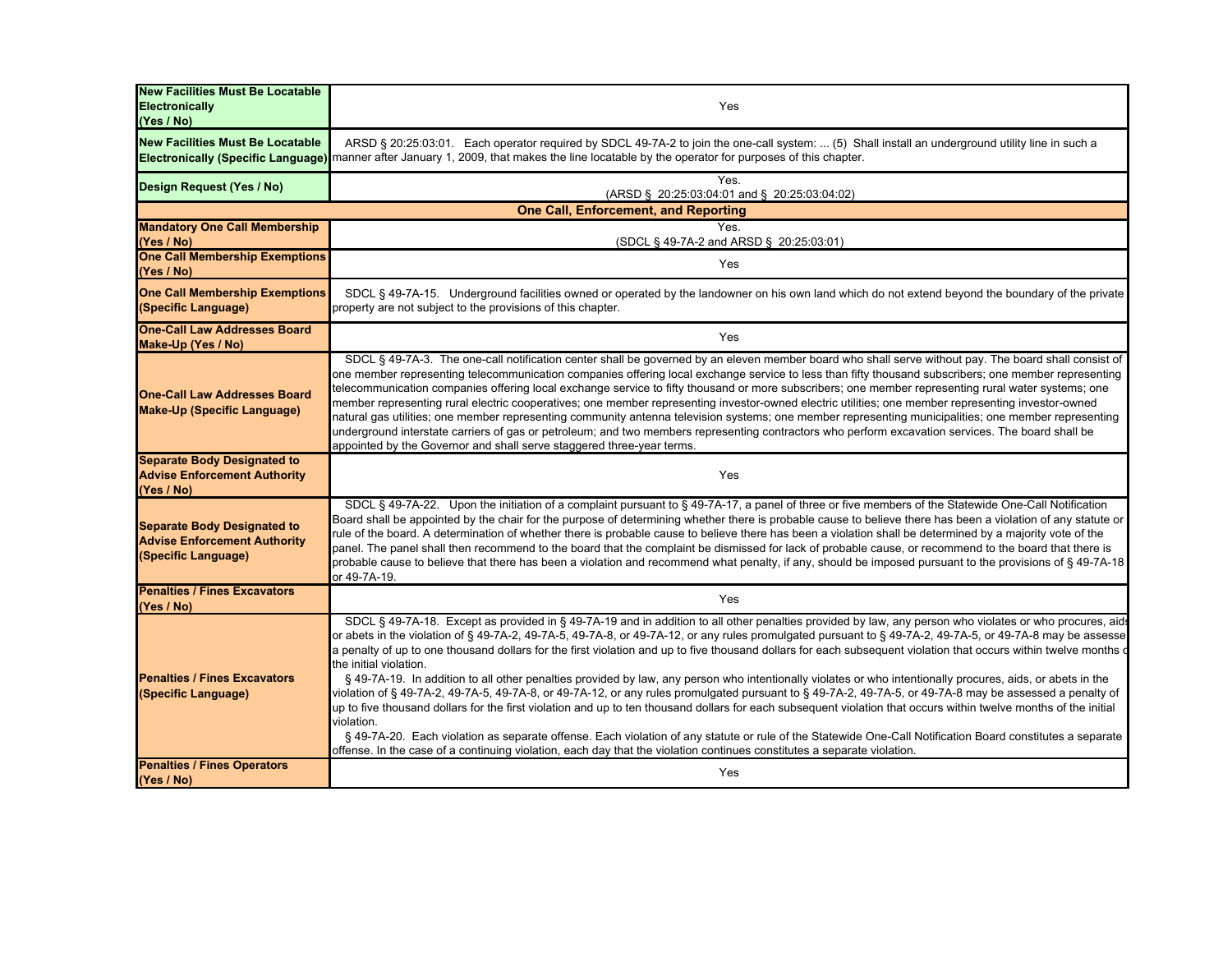| <b>New Facilities Must Be Locatable</b><br>Electronically<br>(Yes / No)                          | Yes                                                                                                                                                                                                                                                                                                                                                                                                                                                                                                                                                                                                                                                                                                                                                                                                                                                                                                                                                                                                                                                                                                                                                                                                                                                                                                                    |
|--------------------------------------------------------------------------------------------------|------------------------------------------------------------------------------------------------------------------------------------------------------------------------------------------------------------------------------------------------------------------------------------------------------------------------------------------------------------------------------------------------------------------------------------------------------------------------------------------------------------------------------------------------------------------------------------------------------------------------------------------------------------------------------------------------------------------------------------------------------------------------------------------------------------------------------------------------------------------------------------------------------------------------------------------------------------------------------------------------------------------------------------------------------------------------------------------------------------------------------------------------------------------------------------------------------------------------------------------------------------------------------------------------------------------------|
| <b>New Facilities Must Be Locatable</b>                                                          | ARSD § 20:25:03:01. Each operator required by SDCL 49-7A-2 to join the one-call system:  (5) Shall install an underground utility line in such a<br><b>Electronically (Specific Language)</b> manner after January 1, 2009, that makes the line locatable by the operator for purposes of this chapter.                                                                                                                                                                                                                                                                                                                                                                                                                                                                                                                                                                                                                                                                                                                                                                                                                                                                                                                                                                                                                |
| Design Request (Yes / No)                                                                        | Yes.<br>(ARSD § 20:25:03:04:01 and § 20:25:03:04:02)                                                                                                                                                                                                                                                                                                                                                                                                                                                                                                                                                                                                                                                                                                                                                                                                                                                                                                                                                                                                                                                                                                                                                                                                                                                                   |
|                                                                                                  | <b>One Call, Enforcement, and Reporting</b>                                                                                                                                                                                                                                                                                                                                                                                                                                                                                                                                                                                                                                                                                                                                                                                                                                                                                                                                                                                                                                                                                                                                                                                                                                                                            |
| <b>Mandatory One Call Membership</b><br>(Yes / No)                                               | <b>Yes</b><br>(SDCL § 49-7A-2 and ARSD § 20:25:03:01)                                                                                                                                                                                                                                                                                                                                                                                                                                                                                                                                                                                                                                                                                                                                                                                                                                                                                                                                                                                                                                                                                                                                                                                                                                                                  |
| <b>One Call Membership Exemptions</b><br>(Yes / No)                                              | Yes                                                                                                                                                                                                                                                                                                                                                                                                                                                                                                                                                                                                                                                                                                                                                                                                                                                                                                                                                                                                                                                                                                                                                                                                                                                                                                                    |
| <b>One Call Membership Exemptions</b><br>(Specific Language)                                     | SDCL § 49-7A-15. Underground facilities owned or operated by the landowner on his own land which do not extend beyond the boundary of the private<br>property are not subject to the provisions of this chapter.                                                                                                                                                                                                                                                                                                                                                                                                                                                                                                                                                                                                                                                                                                                                                                                                                                                                                                                                                                                                                                                                                                       |
| <b>One-Call Law Addresses Board</b><br>Make-Up (Yes / No)                                        | Yes                                                                                                                                                                                                                                                                                                                                                                                                                                                                                                                                                                                                                                                                                                                                                                                                                                                                                                                                                                                                                                                                                                                                                                                                                                                                                                                    |
| <b>One-Call Law Addresses Board</b><br><b>Make-Up (Specific Language)</b>                        | SDCL § 49-7A-3. The one-call notification center shall be governed by an eleven member board who shall serve without pay. The board shall consist of<br>one member representing telecommunication companies offering local exchange service to less than fifty thousand subscribers; one member representing<br>telecommunication companies offering local exchange service to fifty thousand or more subscribers; one member representing rural water systems; one<br>member representing rural electric cooperatives; one member representing investor-owned electric utilities; one member representing investor-owned<br>natural gas utilities; one member representing community antenna television systems; one member representing municipalities; one member representing<br>underground interstate carriers of gas or petroleum; and two members representing contractors who perform excavation services. The board shall be<br>appointed by the Governor and shall serve staggered three-year terms.                                                                                                                                                                                                                                                                                                        |
| <b>Separate Body Designated to</b><br><b>Advise Enforcement Authority</b><br>(Yes / No)          | Yes                                                                                                                                                                                                                                                                                                                                                                                                                                                                                                                                                                                                                                                                                                                                                                                                                                                                                                                                                                                                                                                                                                                                                                                                                                                                                                                    |
| <b>Separate Body Designated to</b><br><b>Advise Enforcement Authority</b><br>(Specific Language) | SDCL § 49-7A-22. Upon the initiation of a complaint pursuant to § 49-7A-17, a panel of three or five members of the Statewide One-Call Notification<br>Board shall be appointed by the chair for the purpose of determining whether there is probable cause to believe there has been a violation of any statute or<br>rule of the board. A determination of whether there is probable cause to believe there has been a violation shall be determined by a majority vote of the<br>panel. The panel shall then recommend to the board that the complaint be dismissed for lack of probable cause, or recommend to the board that there is<br>probable cause to believe that there has been a violation and recommend what penalty, if any, should be imposed pursuant to the provisions of § 49-7A-18<br>or 49-7A-19.                                                                                                                                                                                                                                                                                                                                                                                                                                                                                                 |
| <b>Penalties / Fines Excavators</b><br>(Yes / No)                                                | Yes                                                                                                                                                                                                                                                                                                                                                                                                                                                                                                                                                                                                                                                                                                                                                                                                                                                                                                                                                                                                                                                                                                                                                                                                                                                                                                                    |
| <b>Penalties / Fines Excavators</b><br>(Specific Language)                                       | SDCL § 49-7A-18. Except as provided in § 49-7A-19 and in addition to all other penalties provided by law, any person who violates or who procures, aid:<br>or abets in the violation of § 49-7A-2, 49-7A-5, 49-7A-8, or 49-7A-12, or any rules promulgated pursuant to § 49-7A-2, 49-7A-5, or 49-7A-8 may be assesse<br>a penalty of up to one thousand dollars for the first violation and up to five thousand dollars for each subsequent violation that occurs within twelve months of<br>the initial violation.<br>§ 49-7A-19. In addition to all other penalties provided by law, any person who intentionally violates or who intentionally procures, aids, or abets in the<br>violation of § 49-7A-2, 49-7A-5, 49-7A-8, or 49-7A-12, or any rules promulgated pursuant to § 49-7A-2, 49-7A-5, or 49-7A-8 may be assessed a penalty of<br>up to five thousand dollars for the first violation and up to ten thousand dollars for each subsequent violation that occurs within twelve months of the initial<br>violation.<br>§ 49-7A-20. Each violation as separate offense. Each violation of any statute or rule of the Statewide One-Call Notification Board constitutes a separate<br>offense. In the case of a continuing violation, each day that the violation continues constitutes a separate violation. |
| <b>Penalties / Fines Operators</b><br>(Yes / No)                                                 | Yes                                                                                                                                                                                                                                                                                                                                                                                                                                                                                                                                                                                                                                                                                                                                                                                                                                                                                                                                                                                                                                                                                                                                                                                                                                                                                                                    |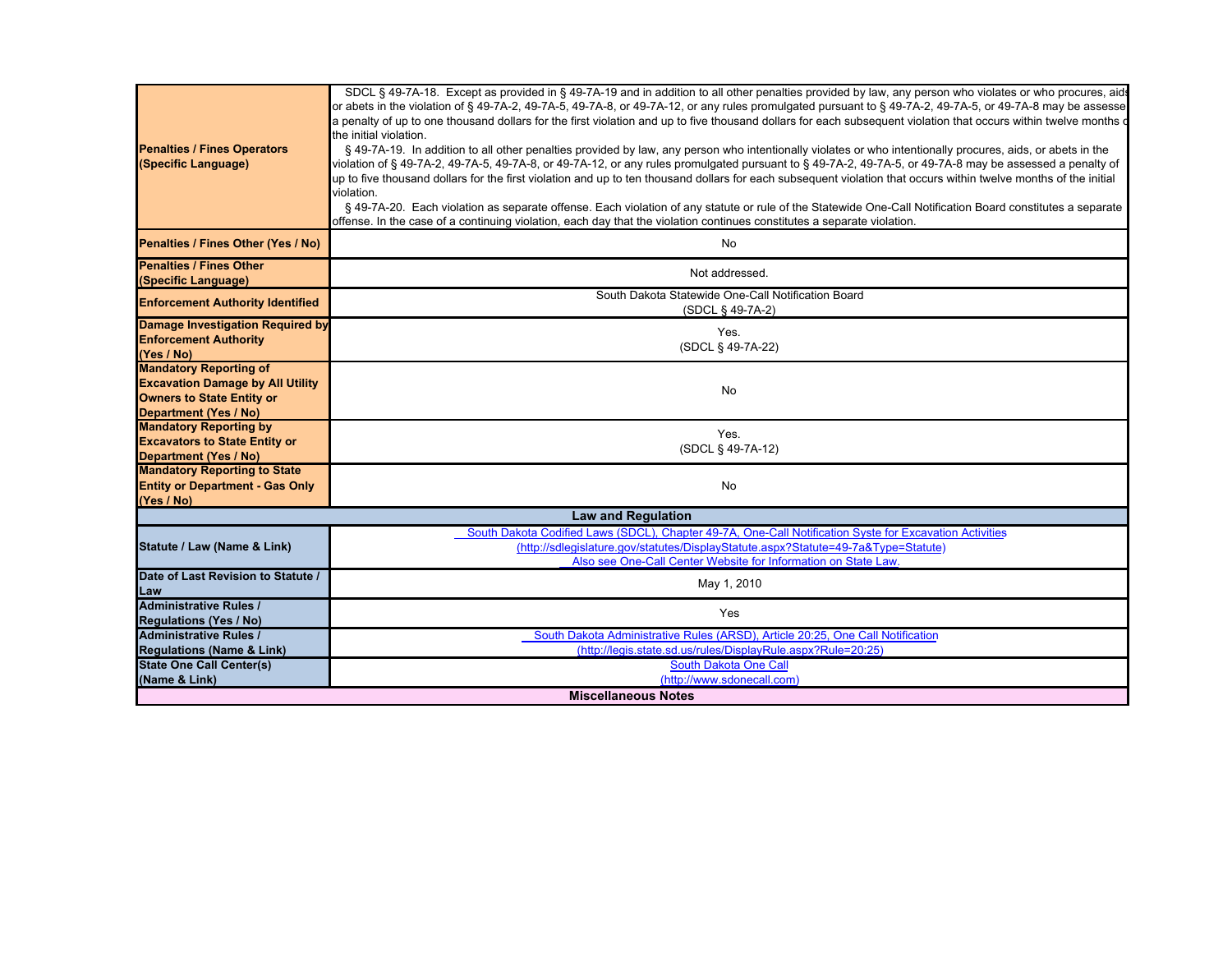|                                         | SDCL § 49-7A-18. Except as provided in § 49-7A-19 and in addition to all other penalties provided by law, any person who violates or who procures, aids           |  |
|-----------------------------------------|-------------------------------------------------------------------------------------------------------------------------------------------------------------------|--|
|                                         | or abets in the violation of § 49-7A-2, 49-7A-5, 49-7A-8, or 49-7A-12, or any rules promulgated pursuant to § 49-7A-2, 49-7A-5, or 49-7A-8 may be assesse         |  |
|                                         | a penalty of up to one thousand dollars for the first violation and up to five thousand dollars for each subsequent violation that occurs within twelve months or |  |
|                                         |                                                                                                                                                                   |  |
|                                         | the initial violation.                                                                                                                                            |  |
| <b>Penalties / Fines Operators</b>      | § 49-7A-19. In addition to all other penalties provided by law, any person who intentionally violates or who intentionally procures, aids, or abets in the        |  |
| (Specific Language)                     | violation of § 49-7A-2, 49-7A-5, 49-7A-8, or 49-7A-12, or any rules promulgated pursuant to § 49-7A-2, 49-7A-5, or 49-7A-8 may be assessed a penalty of           |  |
|                                         | up to five thousand dollars for the first violation and up to ten thousand dollars for each subsequent violation that occurs within twelve months of the initial  |  |
|                                         | violation.                                                                                                                                                        |  |
|                                         | § 49-7A-20. Each violation as separate offense. Each violation of any statute or rule of the Statewide One-Call Notification Board constitutes a separate         |  |
|                                         | offense. In the case of a continuing violation, each day that the violation continues constitutes a separate violation.                                           |  |
| Penalties / Fines Other (Yes / No)      | No                                                                                                                                                                |  |
| <b>Penalties / Fines Other</b>          |                                                                                                                                                                   |  |
| (Specific Language)                     | Not addressed.                                                                                                                                                    |  |
|                                         | South Dakota Statewide One-Call Notification Board                                                                                                                |  |
| <b>Enforcement Authority Identified</b> | (SDCL § 49-7A-2)                                                                                                                                                  |  |
| Damage Investigation Required by        | Yes.                                                                                                                                                              |  |
| <b>Enforcement Authority</b>            |                                                                                                                                                                   |  |
| (Yes / No)                              | (SDCL § 49-7A-22)                                                                                                                                                 |  |
| <b>Mandatory Reporting of</b>           |                                                                                                                                                                   |  |
| <b>Excavation Damage by All Utility</b> | No                                                                                                                                                                |  |
| <b>Owners to State Entity or</b>        |                                                                                                                                                                   |  |
| Department (Yes / No)                   |                                                                                                                                                                   |  |
| <b>Mandatory Reporting by</b>           | Yes.                                                                                                                                                              |  |
| <b>Excavators to State Entity or</b>    | (SDCL § 49-7A-12)                                                                                                                                                 |  |
| <b>Department (Yes / No)</b>            |                                                                                                                                                                   |  |
| <b>Mandatory Reporting to State</b>     |                                                                                                                                                                   |  |
| <b>Entity or Department - Gas Only</b>  | No                                                                                                                                                                |  |
| (Yes / No)                              |                                                                                                                                                                   |  |
|                                         | <b>Law and Regulation</b>                                                                                                                                         |  |
|                                         | South Dakota Codified Laws (SDCL), Chapter 49-7A, One-Call Notification Syste for Excavation Activities                                                           |  |
| Statute / Law (Name & Link)             | (http://sdlegislature.gov/statutes/DisplayStatute.aspx?Statute=49-7a&Type=Statute)                                                                                |  |
|                                         | Also see One-Call Center Website for Information on State Law.                                                                                                    |  |
| Date of Last Revision to Statute /      | May 1, 2010                                                                                                                                                       |  |
| Law                                     |                                                                                                                                                                   |  |
| <b>Administrative Rules /</b>           | Yes                                                                                                                                                               |  |
| <b>Regulations (Yes / No)</b>           |                                                                                                                                                                   |  |
| <b>Administrative Rules /</b>           | South Dakota Administrative Rules (ARSD), Article 20:25, One Call Notification                                                                                    |  |
| <b>Regulations (Name &amp; Link)</b>    | (http://legis.state.sd.us/rules/DisplayRule.aspx?Rule=20:25)                                                                                                      |  |
| <b>State One Call Center(s)</b>         | South Dakota One Call                                                                                                                                             |  |
| (Name & Link)                           | (http://www.sdonecall.com)                                                                                                                                        |  |
| <b>Miscellaneous Notes</b>              |                                                                                                                                                                   |  |